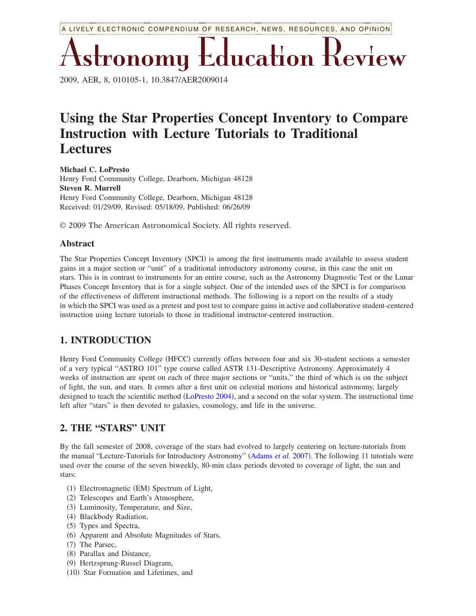A LIVELY ELECTRONIC COMPENDIUM OF RESEARCH, NEWS, RESOURCES, AND OPINION

stronomy Education Review

2009, AER, 8, 010105-1, 10.3847/AER2009014

# **Using the Star Properties Concept Inventory to Compare Instruction with Lecture Tutorials to Traditional Lectures**

**Michael C. LoPresto** Henry Ford Community College, Dearborn, Michigan 48128 **Steven R. Murrell** Henry Ford Community College, Dearborn, Michigan 48128 Received: 01/29/09, Revised: 05/18/09, Published: 06/26/09

© 2009 The American Astronomical Society. All rights reserved.

#### **Abstract**

The Star Properties Concept Inventory (SPCI) is among the first instruments made available to assess student gains in a major section or "unit" of a traditional introductory astronomy course, in this case the unit on stars. This is in contrast to instruments for an entire course, such as the Astronomy Diagnostic Test or the Lunar Phases Concept Inventory that is for a single subject. One of the intended uses of the SPCI is for comparison of the effectiveness of different instructional methods. The following is a report on the results of a study in which the SPCI was used as a pretest and post test to compare gains in active and collaborative student-centered instruction using lecture tutorials to those in traditional instructor-centered instruction.

# **1. INTRODUCTION**

Henry Ford Community College (HFCC) currently offers between four and six 30-student sections a semester of a very typical "ASTRO 101" type course called ASTR 131-Descriptive Astronomy. Approximately 4 weeks of instruction are spent on each of three major sections or "units," the third of which is on the subject of light, the sun, and stars. It comes after a first unit on celestial motions and historical astronomy, largely designed to teach the scientific method ([LoPresto 2004](#page-4-0)), and a second on the solar system. The instructional time left after "stars" is then devoted to galaxies, cosmology, and life in the universe.

# **2. THE "STARS" UNIT**

By the fall semester of 2008, coverage of the stars had evolved to largely centering on lecture-tutorials from the manual "Lecture-Tutorials for Introductory Astronomy" ([Adams](#page-3-0) *et al.* 2007). The following 11 tutorials were used over the course of the seven biweekly, 80-min class periods devoted to coverage of light, the sun and stars:

- (1) Electromagnetic (EM) Spectrum of Light,
- (2) Telescopes and Earth's Atmosphere,
- (3) Luminosity, Temperature, and Size,
- (4) Blackbody Radiation,
- (5) Types and Spectra,
- (6) Apparent and Absolute Magnitudes of Stars,
- (7) The Parsec,
- (8) Parallax and Distance,
- (9) Hertzsprung-Russel Diagram,
- (10) Star Formation and Lifetimes, and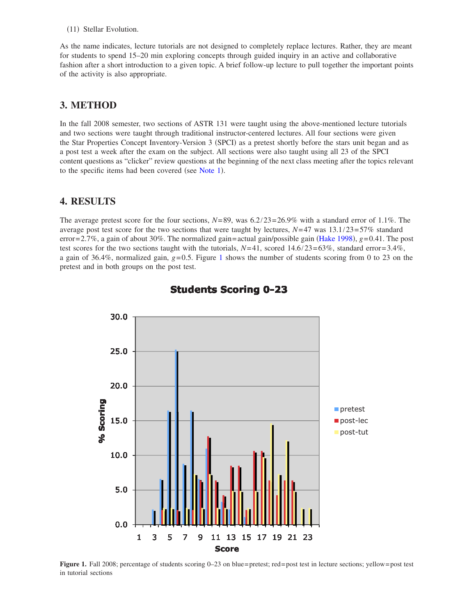As the name indicates, lecture tutorials are not designed to completely replace lectures. Rather, they are meant for students to spend 15–20 min exploring concepts through guided inquiry in an active and collaborative fashion after a short introduction to a given topic. A brief follow-up lecture to pull together the important points of the activity is also appropriate.

### **3. METHOD**

In the fall 2008 semester, two sections of ASTR 131 were taught using the above-mentioned lecture tutorials and two sections were taught through traditional instructor-centered lectures. All four sections were given the Star Properties Concept Inventory-Version 3 (SPCI) as a pretest shortly before the stars unit began and as a post test a week after the exam on the subject. All sections were also taught using all 23 of the SPCI content questions as "clicker" review questions at the beginning of the next class meeting after the topics relevant to the specific items had been covered (see [Note 1](#page-3-1)).

### **4. RESULTS**

The average pretest score for the four sections, *N*= 89, was 6.2/23= 26.9*%* with a standard error of 1.1%. The average post test score for the two sections that were taught by lectures,  $N=47$  was  $13.1/23=57%$  standard error=  $2.7\%$ , a gain of about 30%. The normalized gain=actual gain/possible gain ([Hake 1998](#page-4-1)),  $g=0.41$ . The post test scores for the two sections taught with the tutorials,  $N=41$ , scored  $14.6/23=63\%$ , standard error= 3.4%, a gain of 36.4%, normalized gain, *g*= 0.5. Figure [1](#page-1-0) shows the number of students scoring from 0 to 23 on the pretest and in both groups on the post test.

<span id="page-1-0"></span>

## **Students Scoring 0-23**

**Figure 1.** Fall 2008; percentage of students scoring 0–23 on blue=pretest; red=post test in lecture sections; yellow=post test in tutorial sections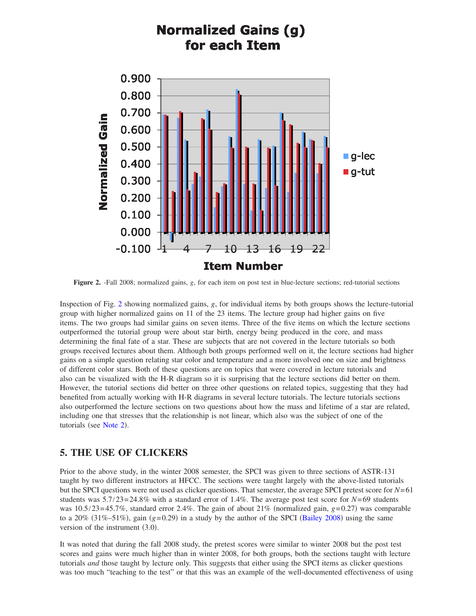<span id="page-2-0"></span>

**Figure 2.** -Fall 2008; normalized gains, *g*, for each item on post test in blue-lecture sections; red-tutorial sections

Inspection of Fig. [2](#page-2-0) showing normalized gains, *g*, for individual items by both groups shows the lecture-tutorial group with higher normalized gains on 11 of the 23 items. The lecture group had higher gains on five items. The two groups had similar gains on seven items. Three of the five items on which the lecture sections outperformed the tutorial group were about star birth, energy being produced in the core, and mass determining the final fate of a star. These are subjects that are not covered in the lecture tutorials so both groups received lectures about them. Although both groups performed well on it, the lecture sections had higher gains on a simple question relating star color and temperature and a more involved one on size and brightness of different color stars. Both of these questions are on topics that were covered in lecture tutorials and also can be visualized with the H-R diagram so it is surprising that the lecture sections did better on them. However, the tutorial sections did better on three other questions on related topics, suggesting that they had benefited from actually working with H-R diagrams in several lecture tutorials. The lecture tutorials sections also outperformed the lecture sections on two questions about how the mass and lifetime of a star are related, including one that stresses that the relationship is not linear, which also was the subject of one of the tutorials (see [Note 2](#page-3-2)).

#### **5. THE USE OF CLICKERS**

Prior to the above study, in the winter 2008 semester, the SPCI was given to three sections of ASTR-131 taught by two different instructors at HFCC. The sections were taught largely with the above-listed tutorials but the SPCI questions were not used as clicker questions. That semester, the average SPCI pretest score for *N*= 61 students was 5.7/23= 24.8*%* with a standard error of 1.4%. The average post test score for *N*= 69 students was  $10.5/23 = 45.7\%$ , standard error 2.4%. The gain of about  $21\%$  (normalized gain,  $g=0.27$ ) was comparable to a 20%  $(31\% - 51\%)$ , gain  $(g=0.29)$  in a study by the author of the SPCI ([Bailey 2008](#page-4-2)) using the same version of the instrument  $(3.0)$ .

It was noted that during the fall 2008 study, the pretest scores were similar to winter 2008 but the post test scores and gains were much higher than in winter 2008, for both groups, both the sections taught with lecture tutorials *and* those taught by lecture only. This suggests that either using the SPCI items as clicker questions was too much "teaching to the test" or that this was an example of the well-documented effectiveness of using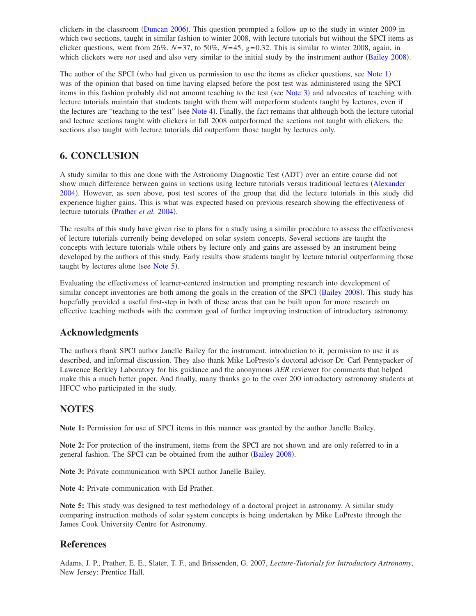clickers in the classroom ([Duncan 2006](#page-4-3)). This question prompted a follow up to the study in winter 2009 in which two sections, taught in similar fashion to winter 2008, with lecture tutorials but without the SPCI items as clicker questions, went from 26%,  $N=37$ , to 50%,  $N=45$ ,  $g=0.32$ . This is similar to winter 2008, again, in which clickers were *not* used and also very similar to the initial study by the instrument author ([Bailey 2008](#page-4-2)).

The author of the SPCI (who had given us permission to use the items as clicker questions, see [Note 1](#page-3-1)) was of the opinion that based on time having elapsed before the post test was administered using the SPCI items in this fashion probably did not amount teaching to the test (see [Note 3](#page-3-3)) and advocates of teaching with lecture tutorials maintain that students taught with them will outperform students taught by lectures, even if the lectures are "teaching to the test" (see [Note 4](#page-3-4)). Finally, the fact remains that although both the lecture tutorial and lecture sections taught with clickers in fall 2008 outperformed the sections not taught with clickers, the sections also taught with lecture tutorials did outperform those taught by lectures only.

## **6. CONCLUSION**

A study similar to this one done with the Astronomy Diagnostic Test (ADT) over an entire course did not show much difference between gains in sections using lecture tutorials versus traditional lectures ([Alexander](#page-4-4) [2004](#page-4-4)). However, as seen above, post test scores of the group that did the lecture tutorials in this study did experience higher gains. This is what was expected based on previous research showing the effectiveness of lecture tutorials ([Prather](#page-4-5) *et al.* 2004).

The results of this study have given rise to plans for a study using a similar procedure to assess the effectiveness of lecture tutorials currently being developed on solar system concepts. Several sections are taught the concepts with lecture tutorials while others by lecture only and gains are assessed by an instrument being developed by the authors of this study. Early results show students taught by lecture tutorial outperforming those taught by lectures alone (see [Note 5](#page-3-5)).

Evaluating the effectiveness of learner-centered instruction and prompting research into development of similar concept inventories are both among the goals in the creation of the SPCI ([Bailey 2008](#page-4-2)). This study has hopefully provided a useful first-step in both of these areas that can be built upon for more research on effective teaching methods with the common goal of further improving instruction of introductory astronomy.

## **Acknowledgments**

The authors thank SPCI author Janelle Bailey for the instrument, introduction to it, permission to use it as described, and informal discussion. They also thank Mike LoPresto's doctoral advisor Dr. Carl Pennypacker of Lawrence Berkley Laboratory for his guidance and the anonymous *AER* reviewer for comments that helped make this a much better paper. And finally, many thanks go to the over 200 introductory astronomy students at HFCC who participated in the study.

## **NOTES**

<span id="page-3-1"></span>**Note 1:** Permission for use of SPCI items in this manner was granted by the author Janelle Bailey.

<span id="page-3-2"></span>**Note 2:** For protection of the instrument, items from the SPCI are not shown and are only referred to in a general fashion. The SPCI can be obtained from the author ([Bailey 2008](#page-4-2)).

<span id="page-3-3"></span>**Note 3:** Private communication with SPCI author Janelle Bailey.

<span id="page-3-4"></span>**Note 4:** Private communication with Ed Prather.

<span id="page-3-5"></span>**Note 5:** This study was designed to test methodology of a doctoral project in astronomy. A similar study comparing instruction methods of solar system concepts is being undertaken by Mike LoPresto through the James Cook University Centre for Astronomy.

#### **References**

<span id="page-3-0"></span>Adams, J. P., Prather, E. E., Slater, T. F., and Brissenden, G. 2007, *Lecture-Tutorials for Introductory Astronomy*, New Jersey: Prentice Hall.